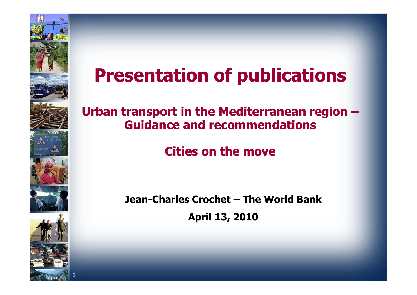

## **Presentation of publications**

#### **Urban transport in the Mediterranean region –Guidance and recommendations**

#### **Cities on the move**

**Jean-Charles Crochet – The World Bank**

**April 13, 2010**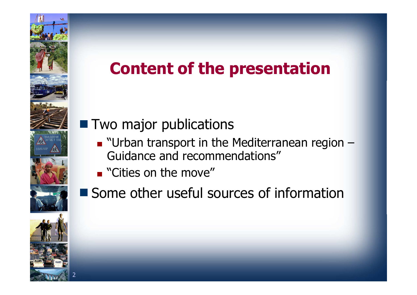### **Content of the presentation**

### **T** Two major publications

- "Urban transport in the Mediterranean region –Guidance and recommendations"
- **E** "Cities on the move"
- Some other useful sources of information



2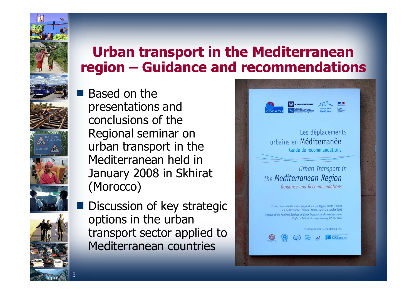## **Urban transport in the Mediterranean region – Guidance and recommendations**

- Based on the presentations and conclusions of the Regional seminar on urban transport in the Mediterranean held in January 2008 in Skhirat(Morocco)
- Discussion of key strategic options in the urban transport sector applied to Mediterranean countries

3

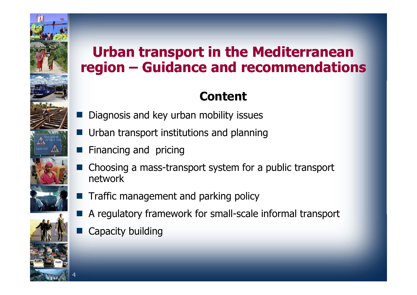

4

## **Urban transport in the Mediterranean region – Guidance and recommendations**

#### **Content**

- Diagnosis and key urban mobility issues
- **Urban transport institutions and planning**
- Financing and pricing
- Choosing a mass-transport system for a public transport network
- **Traffic management and parking policy**
- A regulatory framework for small-scale informal transport
- Capacity building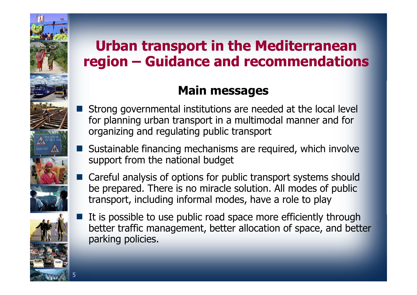## **Urban transport in the Mediterranean region – Guidance and recommendations**

#### **Main messages**

- Strong governmental institutions are needed at the local level for planning urban transport in a multimodal manner and for organizing and regulating public transport
- Sustainable financing mechanisms are required, which involve support from the national budget
- Careful analysis of options for public transport systems should be prepared. There is no miracle solution. All modes of public transport, including informal modes, have a role to play



It is possible to use public road space more efficiently through better traffic management, better allocation of space, and better parking policies.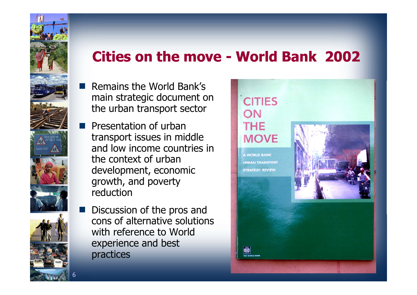### **Cities on the move - World Bank 2002**

- **Remains the World Bank's**  main strategic document on the urban transport sector
- **Presentation of urban**  transport issues in middle and low income countries in the context of urban development, economic growth, and poverty reduction
- Discussion of the pros and ka k cons of alternative solutions with reference to World experience and best practices

6

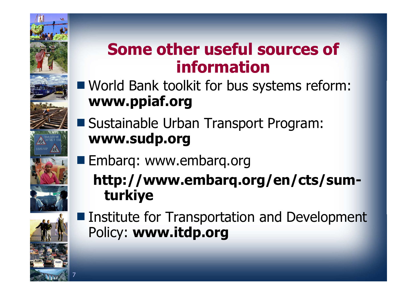### **Some other useful sources of information**

- World Bank toolkit for bus systems reform: **www.ppiaf.org**
- Sustainable Urban Transport Program: **www.sudp.org**
- **Embarq: www.embarq.org**

 **http://www.embarq.org/en/cts/sumturkiye**



7

**Institute for Transportation and Development** Policy: **www.itdp.org**